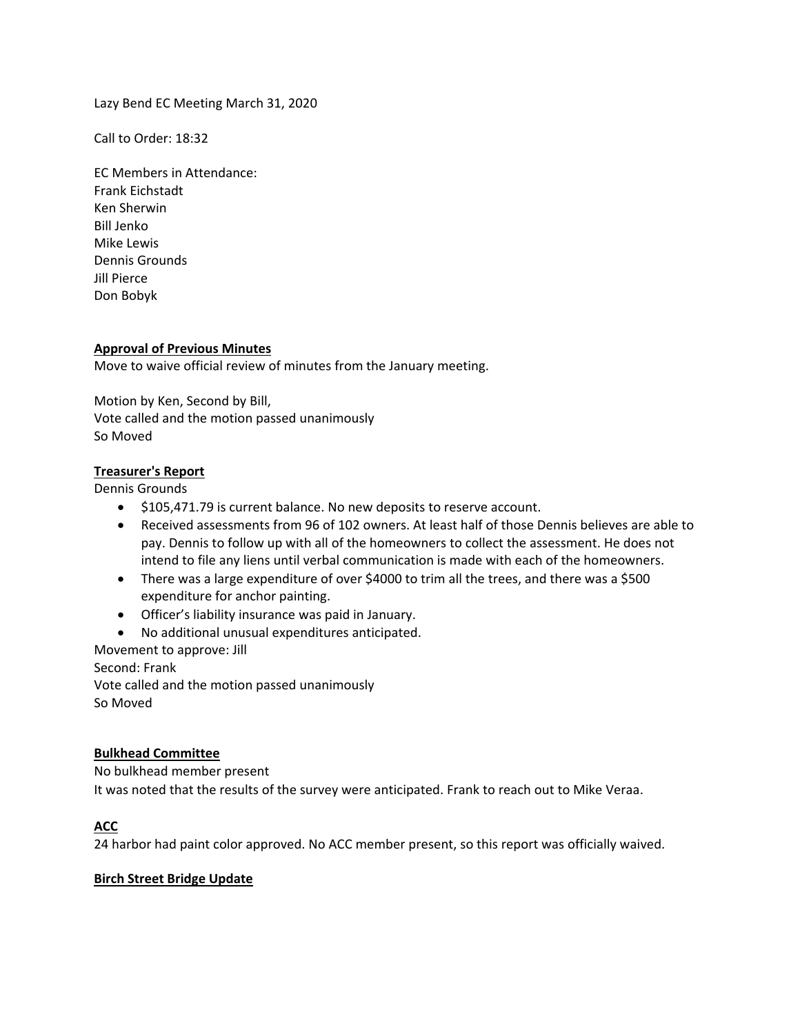Lazy Bend EC Meeting March 31, 2020

Call to Order: 18:32

EC Members in Attendance: Frank Eichstadt Ken Sherwin Bill Jenko Mike Lewis Dennis Grounds Jill Pierce Don Bobyk

### **Approval of Previous Minutes**

Move to waive official review of minutes from the January meeting.

Motion by Ken, Second by Bill, Vote called and the motion passed unanimously So Moved

# **Treasurer's Report**

Dennis Grounds

- $\bullet$  \$105,471.79 is current balance. No new deposits to reserve account.
- Received assessments from 96 of 102 owners. At least half of those Dennis believes are able to pay. Dennis to follow up with all of the homeowners to collect the assessment. He does not intend to file any liens until verbal communication is made with each of the homeowners.
- There was a large expenditure of over \$4000 to trim all the trees, and there was a \$500 expenditure for anchor painting.
- Officer's liability insurance was paid in January.
- No additional unusual expenditures anticipated.

Movement to approve: Jill Second: Frank Vote called and the motion passed unanimously So Moved

### **Bulkhead Committee**

No bulkhead member present

It was noted that the results of the survey were anticipated. Frank to reach out to Mike Veraa.

# **ACC**

24 harbor had paint color approved. No ACC member present, so this report was officially waived.

#### **Birch Street Bridge Update**